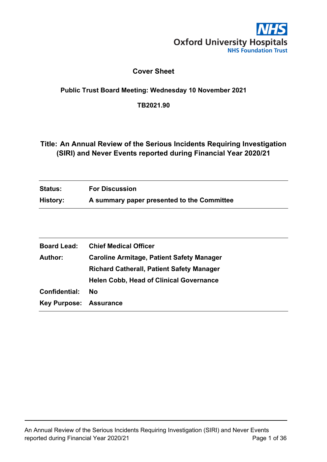

## **Cover Sheet**

### <span id="page-0-0"></span>**Public Trust Board Meeting: Wednesday 10 November 2021**

**TB2021.90**

## <span id="page-0-1"></span>**Title: An Annual Review of the Serious Incidents Requiring Investigation (SIRI) and Never Events reported during Financial Year 2020/21**

| <b>Status:</b> | <b>For Discussion</b>                      |
|----------------|--------------------------------------------|
| History:       | A summary paper presented to the Committee |

| <b>Board Lead:</b>            | <b>Chief Medical Officer</b>                     |
|-------------------------------|--------------------------------------------------|
| <b>Author:</b>                | <b>Caroline Armitage, Patient Safety Manager</b> |
|                               | <b>Richard Catherall, Patient Safety Manager</b> |
|                               | <b>Helen Cobb, Head of Clinical Governance</b>   |
| Confidential:                 | <b>No</b>                                        |
| <b>Key Purpose: Assurance</b> |                                                  |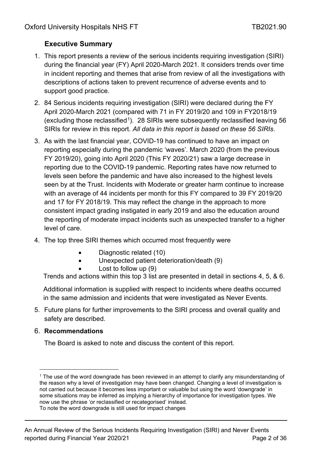# <span id="page-1-1"></span>**Executive Summary**

- 1. This report presents a review of the serious incidents requiring investigation (SIRI) during the financial year (FY) April 2020-March 2021. It considers trends over time in incident reporting and themes that arise from review of all the investigations with descriptions of actions taken to prevent recurrence of adverse events and to support good practice.
- 2. 84 Serious incidents requiring investigation (SIRI) were declared during the FY April 2020-March 2021 (compared with 71 in FY 2019/20 and 109 in FY2018/19 (excluding those reclassified<sup>[1](#page-1-0)</sup>). 28 SIRIs were subsequently reclassified leaving 56 SIRIs for review in this report. *All data in this report is based on these 56 SIRIs*.
- 3. As with the last financial year, COVID-19 has continued to have an impact on reporting especially during the pandemic 'waves'. March 2020 (from the previous FY 2019/20), going into April 2020 (This FY 2020/21) saw a large decrease in reporting due to the COVID-19 pandemic. Reporting rates have now returned to levels seen before the pandemic and have also increased to the highest levels seen by at the Trust. Incidents with Moderate or greater harm continue to increase with an average of 44 incidents per month for this FY compared to 39 FY 2019/20 and 17 for FY 2018/19. This may reflect the change in the approach to more consistent impact grading instigated in early 2019 and also the education around the reporting of moderate impact incidents such as unexpected transfer to a higher level of care.
- 4. The top three SIRI themes which occurred most frequently were
	- Diagnostic related (10)
	- Unexpected patient deterioration/death (9)
		- Lost to follow up  $(9)$

Trends and actions within this top 3 list are presented in detail in sections 4, 5, & 6.

Additional information is supplied with respect to incidents where deaths occurred in the same admission and incidents that were investigated as Never Events.

5. Future plans for further improvements to the SIRI process and overall quality and safety are described.

## 6. **Recommendations**

The Board is asked to note and discuss the content of this report.

<span id="page-1-0"></span><sup>&</sup>lt;sup>1</sup> The use of the word downgrade has been reviewed in an attempt to clarify any misunderstanding of the reason why a level of investigation may have been changed. Changing a level of investigation is not carried out because it becomes less important or valuable but using the word 'downgrade' in some situations may be inferred as implying a hierarchy of importance for investigation types. We now use the phrase 'or reclassified or recategorised' instead.

To note the word downgrade is still used for impact changes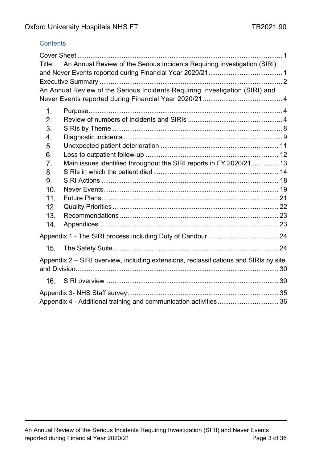### **Contents**

| Title: | An Annual Review of the Serious Incidents Requiring Investigation (SIRI)              |  |
|--------|---------------------------------------------------------------------------------------|--|
|        | An Annual Review of the Serious Incidents Requiring Investigation (SIRI) and          |  |
|        |                                                                                       |  |
| 1.     |                                                                                       |  |
| 2.     |                                                                                       |  |
| 3.     |                                                                                       |  |
| 4.     |                                                                                       |  |
| 5.     |                                                                                       |  |
| 6.     |                                                                                       |  |
| 7.     | Main issues identified throughout the SIRI reports in FY 2020/21 13                   |  |
| 8.     |                                                                                       |  |
| 9.     |                                                                                       |  |
| 10.    |                                                                                       |  |
| 11.    |                                                                                       |  |
| 12.    |                                                                                       |  |
| 13.    |                                                                                       |  |
| 14.    |                                                                                       |  |
|        |                                                                                       |  |
| 15.    |                                                                                       |  |
|        | Appendix 2 – SIRI overview, including extensions, reclassifications and SIRIs by site |  |
| 16.    |                                                                                       |  |
|        |                                                                                       |  |
|        |                                                                                       |  |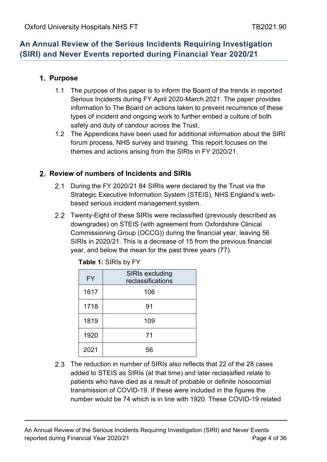# <span id="page-3-0"></span>**An Annual Review of the Serious Incidents Requiring Investigation (SIRI) and Never Events reported during Financial Year 2020/21**

## <span id="page-3-1"></span>**Purpose**

- 1.1 The purpose of this paper is to inform the Board of the trends in reported Serious Incidents during FY April 2020-March 2021. The paper provides information to The Board on actions taken to prevent recurrence of these types of incident and ongoing work to further embed a culture of both safety and duty of candour across the Trust.
- 1.2 The Appendices have been used for additional information about the SIRI forum process, NHS survey and training. This report focuses on the themes and actions arising from the SIRIs in FY 2020/21.

## <span id="page-3-2"></span>**Review of numbers of Incidents and SIRIs**

- 2.1 During the FY 2020/21 84 SIRIs were declared by the Trust via the Strategic Executive Information System (STEIS), NHS England's webbased serious incident management system.
- 2.2 Twenty-Eight of these SIRIs were reclassified (previously described as downgrades) on STEIS (with agreement from Oxfordshire Clinical Commissioning Group (OCCG)) during the financial year, leaving 56 SIRIs in 2020/21. This is a decrease of 15 from the previous financial year, and below the mean for the past three years (77).

| <b>FY</b> | <b>SIRIs excluding</b><br>reclassifications |
|-----------|---------------------------------------------|
| 1617      | 106                                         |
| 1718      | 91                                          |
| 1819      | 109                                         |
| 1920      | 71                                          |
| 2021      | 56                                          |

| <b>Table 1:</b> SIRIs by FY |  |
|-----------------------------|--|
|-----------------------------|--|

2.3 The reduction in number of SIRIs also reflects that 22 of the 28 cases added to STEIS as SIRIs (at that time) and later reclassified relate to patients who have died as a result of probable or definite nosocomial transmission of COVID-19. If these were included in the figures the number would be 74 which is in line with 1920. These COVID-19 related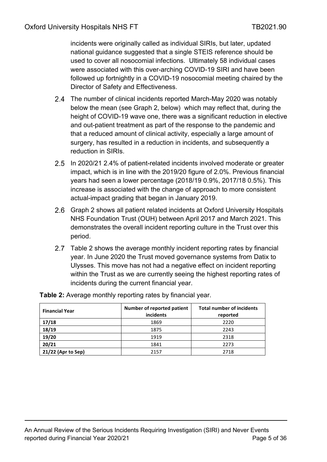incidents were originally called as individual SIRIs, but later, updated national guidance suggested that a single STEIS reference should be used to cover all nosocomial infections. Ultimately 58 individual cases were associated with this over-arching COVID-19 SIRI and have been followed up fortnightly in a COVID-19 nosocomial meeting chaired by the Director of Safety and Effectiveness.

- 2.4 The number of clinical incidents reported March-May 2020 was notably below the mean (see Graph 2, below) which may reflect that, during the height of COVID-19 wave one, there was a significant reduction in elective and out-patient treatment as part of the response to the pandemic and that a reduced amount of clinical activity, especially a large amount of surgery, has resulted in a reduction in incidents, and subsequently a reduction in SIRIs.
- 2.5 In 2020/21 2.4% of patient-related incidents involved moderate or greater impact, which is in line with the 2019/20 figure of 2.0%. Previous financial years had seen a lower percentage (2018/19 0.9%, 2017/18 0.5%). This increase is associated with the change of approach to more consistent actual-impact grading that began in January 2019.
- 2.6 Graph 2 shows all patient related incidents at Oxford University Hospitals NHS Foundation Trust (OUH) between April 2017 and March 2021. This demonstrates the overall incident reporting culture in the Trust over this period.
- 2.7 Table 2 shows the average monthly incident reporting rates by financial year. In June 2020 the Trust moved governance systems from Datix to Ulysses. This move has not had a negative effect on incident reporting within the Trust as we are currently seeing the highest reporting rates of incidents during the current financial year.

| <b>Financial Year</b> | Number of reported patient<br>incidents | <b>Total number of incidents</b><br>reported |
|-----------------------|-----------------------------------------|----------------------------------------------|
| 17/18                 | 1869                                    | 2220                                         |
| 18/19                 | 1875                                    | 2243                                         |
| 19/20                 | 1919                                    | 2318                                         |
| 20/21                 | 1841                                    | 2273                                         |
| 21/22 (Apr to Sep)    | 2157                                    | 2718                                         |

**Table 2:** Average monthly reporting rates by financial year.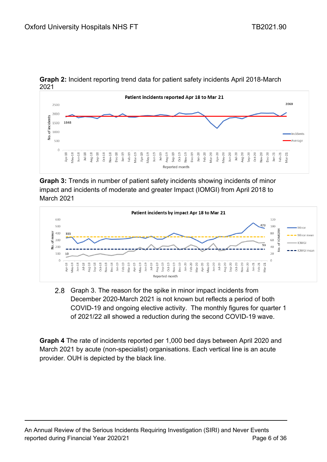

**Graph 2:** Incident reporting trend data for patient safety incidents April 2018-March 2021

**Graph 3:** Trends in number of patient safety incidents showing incidents of minor impact and incidents of moderate and greater Impact (IOMGI) from April 2018 to March 2021



2.8 Graph 3. The reason for the spike in minor impact incidents from December 2020-March 2021 is not known but reflects a period of both COVID-19 and ongoing elective activity. The monthly figures for quarter 1 of 2021/22 all showed a reduction during the second COVID-19 wave.

**Graph 4** The rate of incidents reported per 1,000 bed days between April 2020 and March 2021 by acute (non-specialist) organisations. Each vertical line is an acute provider. OUH is depicted by the black line.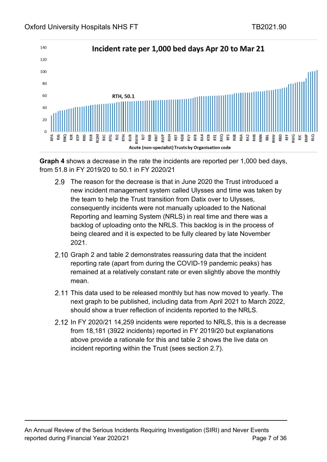

**Graph 4** shows a decrease in the rate the incidents are reported per 1,000 bed days, from 51.8 in FY 2019/20 to 50.1 in FY 2020/21

- 2.9 The reason for the decrease is that in June 2020 the Trust introduced a new incident management system called Ulysses and time was taken by the team to help the Trust transition from Datix over to Ulysses, consequently incidents were not manually uploaded to the National Reporting and learning System (NRLS) in real time and there was a backlog of uploading onto the NRLS. This backlog is in the process of being cleared and it is expected to be fully cleared by late November 2021.
- 2.10 Graph 2 and table 2 demonstrates reassuring data that the incident reporting rate (apart from during the COVID-19 pandemic peaks) has remained at a relatively constant rate or even slightly above the monthly mean.
- 2.11 This data used to be released monthly but has now moved to yearly. The next graph to be published, including data from April 2021 to March 2022, should show a truer reflection of incidents reported to the NRLS.
- 2.12 In FY 2020/21 14,259 incidents were reported to NRLS, this is a decrease from 18,181 (3922 incidents) reported in FY 2019/20 but explanations above provide a rationale for this and table 2 shows the live data on incident reporting within the Trust (sees section 2.7).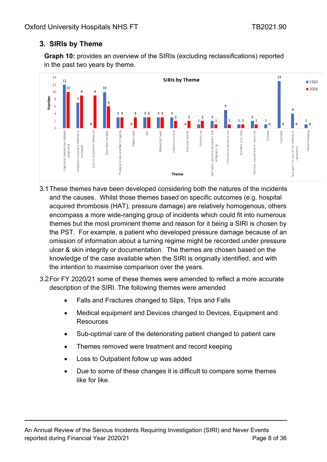## <span id="page-7-0"></span>**SIRIs by Theme**

**Graph 10:** provides an overview of the SIRIs (excluding reclassifications) reported in the past two years by theme.



- 3.1These themes have been developed considering both the natures of the incidents and the causes. Whilst those themes based on specific outcomes (e.g. hospital acquired thrombosis (HAT), pressure damage) are relatively homogenous, others encompass a more wide-ranging group of incidents which could fit into numerous themes but the most prominent theme and reason for it being a SIRI is chosen by the PST. For example, a patient who developed pressure damage because of an omission of information about a turning regime might be recorded under pressure ulcer & skin integrity or documentation. The themes are chosen based on the knowledge of the case available when the SIRI is originally identified, and with the intention to maximise comparison over the years.
- 3.2For FY 2020/21 some of these themes were amended to reflect a more accurate description of the SIRI. The following themes were amended
	- Falls and Fractures changed to Slips, Trips and Falls
	- Medical equipment and Devices changed to Devices, Equipment and **Resources**
	- Sub-optimal care of the deteriorating patient changed to patient care
	- Themes removed were treatment and record keeping
	- Loss to Outpatient follow up was added
	- Due to some of these changes it is difficult to compare some themes like for like.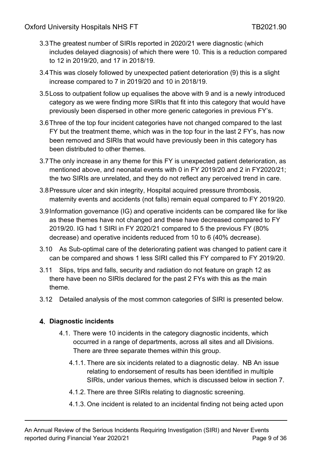- 3.3The greatest number of SIRIs reported in 2020/21 were diagnostic (which includes delayed diagnosis) of which there were 10. This is a reduction compared to 12 in 2019/20, and 17 in 2018/19.
- 3.4This was closely followed by unexpected patient deterioration (9) this is a slight increase compared to 7 in 2019/20 and 10 in 2018/19.
- 3.5Loss to outpatient follow up equalises the above with 9 and is a newly introduced category as we were finding more SIRIs that fit into this category that would have previously been dispersed in other more generic categories in previous FY's.
- 3.6Three of the top four incident categories have not changed compared to the last FY but the treatment theme, which was in the top four in the last 2 FY's, has now been removed and SIRIs that would have previously been in this category has been distributed to other themes.
- 3.7The only increase in any theme for this FY is unexpected patient deterioration, as mentioned above, and neonatal events with 0 in FY 2019/20 and 2 in FY2020/21; the two SIRIs are unrelated, and they do not reflect any perceived trend in care.
- 3.8Pressure ulcer and skin integrity, Hospital acquired pressure thrombosis, maternity events and accidents (not falls) remain equal compared to FY 2019/20.
- 3.9Information governance (IG) and operative incidents can be compared like for like as these themes have not changed and these have decreased compared to FY 2019/20. IG had 1 SIRI in FY 2020/21 compared to 5 the previous FY (80% decrease) and operative incidents reduced from 10 to 6 (40% decrease).
- 3.10 As Sub-optimal care of the deteriorating patient was changed to patient care it can be compared and shows 1 less SIRI called this FY compared to FY 2019/20.
- 3.11 Slips, trips and falls, security and radiation do not feature on graph 12 as there have been no SIRIs declared for the past 2 FYs with this as the main theme.
- 3.12 Detailed analysis of the most common categories of SIRI is presented below.

### <span id="page-8-0"></span>**Diagnostic incidents**

- 4.1. There were 10 incidents in the category diagnostic incidents, which occurred in a range of departments, across all sites and all Divisions. There are three separate themes within this group.
	- 4.1.1. There are six incidents related to a diagnostic delay. NB An issue relating to endorsement of results has been identified in multiple SIRIs, under various themes, which is discussed below in section 7.
	- 4.1.2. There are three SIRIs relating to diagnostic screening.
	- 4.1.3. One incident is related to an incidental finding not being acted upon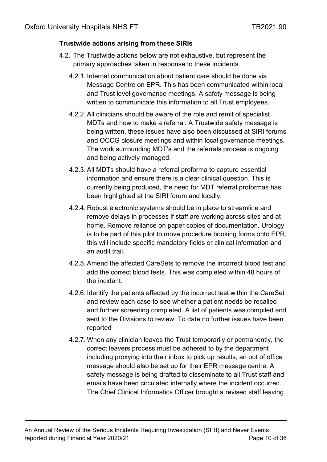### **Trustwide actions arising from these SIRIs**

- 4.2. The Trustwide actions below are not exhaustive, but represent the primary approaches taken in response to these incidents.
	- 4.2.1. Internal communication about patient care should be done via Message Centre on EPR. This has been communicated within local and Trust level governance meetings. A safety message is being written to communicate this information to all Trust employees.
	- 4.2.2. All clinicians should be aware of the role and remit of specialist MDTs and how to make a referral. A Trustwide safety message is being written, these issues have also been discussed at SIRI forums and OCCG closure meetings and within local governance meetings. The work surrounding MDT's and the referrals process is ongoing and being actively managed.
	- 4.2.3. All MDTs should have a referral proforma to capture essential information and ensure there is a clear clinical question. This is currently being produced, the need for MDT referral proformas has been highlighted at the SIRI forum and locally.
	- 4.2.4. Robust electronic systems should be in place to streamline and remove delays in processes if staff are working across sites and at home. Remove reliance on paper copies of documentation. Urology is to be part of this pilot to move procedure booking forms onto EPR, this will include specific mandatory fields or clinical information and an audit trail.
	- 4.2.5. Amend the affected CareSets to remove the incorrect blood test and add the correct blood tests. This was completed within 48 hours of the incident.
	- 4.2.6. Identify the patients affected by the incorrect test within the CareSet and review each case to see whether a patient needs be recalled and further screening completed. A list of patients was compiled and sent to the Divisions to review. To date no further issues have been reported
	- 4.2.7. When any clinician leaves the Trust temporarily or permanently, the correct leavers process must be adhered to by the department including proxying into their inbox to pick up results, an out of office message should also be set up for their EPR message centre. A safety message is being drafted to disseminate to all Trust staff and emails have been circulated internally where the incident occurred. The Chief Clinical Informatics Officer brought a revised staff leaving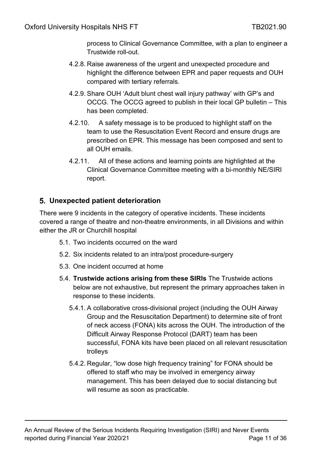process to Clinical Governance Committee, with a plan to engineer a Trustwide roll-out.

- 4.2.8. Raise awareness of the urgent and unexpected procedure and highlight the difference between EPR and paper requests and OUH compared with tertiary referrals.
- 4.2.9. Share OUH 'Adult blunt chest wall injury pathway' with GP's and OCCG. The OCCG agreed to publish in their local GP bulletin – This has been completed.
- 4.2.10. A safety message is to be produced to highlight staff on the team to use the Resuscitation Event Record and ensure drugs are prescribed on EPR. This message has been composed and sent to all OUH emails.
- 4.2.11. All of these actions and learning points are highlighted at the Clinical Governance Committee meeting with a bi-monthly NE/SIRI report.

## <span id="page-10-0"></span>**Unexpected patient deterioration**

There were 9 incidents in the category of operative incidents. These incidents covered a range of theatre and non-theatre environments, in all Divisions and within either the JR or Churchill hospital

- 5.1. Two incidents occurred on the ward
- 5.2. Six incidents related to an intra/post procedure-surgery
- 5.3. One incident occurred at home
- 5.4. **Trustwide actions arising from these SIRIs** The Trustwide actions below are not exhaustive, but represent the primary approaches taken in response to these incidents.
	- 5.4.1. A collaborative cross-divisional project (including the OUH Airway Group and the Resuscitation Department) to determine site of front of neck access (FONA) kits across the OUH. The introduction of the Difficult Airway Response Protocol (DART) team has been successful, FONA kits have been placed on all relevant resuscitation trolleys
	- 5.4.2. Regular, "low dose high frequency training" for FONA should be offered to staff who may be involved in emergency airway management. This has been delayed due to social distancing but will resume as soon as practicable.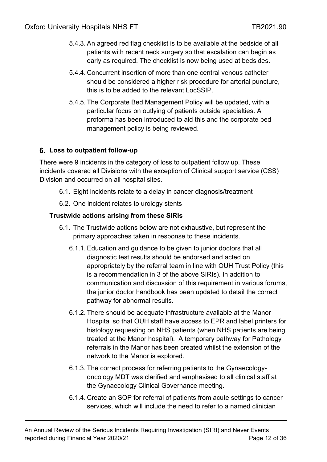- 5.4.3. An agreed red flag checklist is to be available at the bedside of all patients with recent neck surgery so that escalation can begin as early as required. The checklist is now being used at bedsides.
- 5.4.4. Concurrent insertion of more than one central venous catheter should be considered a higher risk procedure for arterial puncture, this is to be added to the relevant LocSSIP.
- 5.4.5. The Corporate Bed Management Policy will be updated, with a particular focus on outlying of patients outside specialties. A proforma has been introduced to aid this and the corporate bed management policy is being reviewed.

### <span id="page-11-0"></span>**Loss to outpatient follow-up**

There were 9 incidents in the category of loss to outpatient follow up. These incidents covered all Divisions with the exception of Clinical support service (CSS) Division and occurred on all hospital sites.

- 6.1. Eight incidents relate to a delay in cancer diagnosis/treatment
- 6.2. One incident relates to urology stents

### **Trustwide actions arising from these SIRIs**

- 6.1. The Trustwide actions below are not exhaustive, but represent the primary approaches taken in response to these incidents.
	- 6.1.1. Education and guidance to be given to junior doctors that all diagnostic test results should be endorsed and acted on appropriately by the referral team in line with OUH Trust Policy (this is a recommendation in 3 of the above SIRIs). In addition to communication and discussion of this requirement in various forums, the junior doctor handbook has been updated to detail the correct pathway for abnormal results.
	- 6.1.2. There should be adequate infrastructure available at the Manor Hospital so that OUH staff have access to EPR and label printers for histology requesting on NHS patients (when NHS patients are being treated at the Manor hospital). A temporary pathway for Pathology referrals in the Manor has been created whilst the extension of the network to the Manor is explored.
	- 6.1.3. The correct process for referring patients to the Gynaecologyoncology MDT was clarified and emphasised to all clinical staff at the Gynaecology Clinical Governance meeting.
	- 6.1.4. Create an SOP for referral of patients from acute settings to cancer services, which will include the need to refer to a named clinician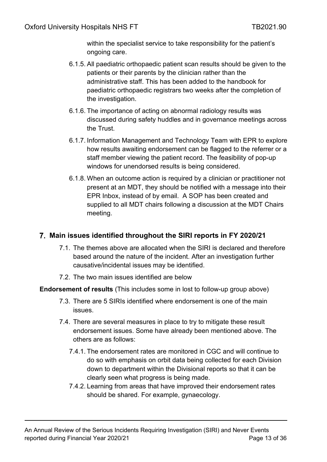within the specialist service to take responsibility for the patient's ongoing care.

- 6.1.5. All paediatric orthopaedic patient scan results should be given to the patients or their parents by the clinician rather than the administrative staff. This has been added to the handbook for paediatric orthopaedic registrars two weeks after the completion of the investigation.
- 6.1.6. The importance of acting on abnormal radiology results was discussed during safety huddles and in governance meetings across the Trust.
- 6.1.7. Information Management and Technology Team with EPR to explore how results awaiting endorsement can be flagged to the referrer or a staff member viewing the patient record. The feasibility of pop-up windows for unendorsed results is being considered.
- 6.1.8. When an outcome action is required by a clinician or practitioner not present at an MDT, they should be notified with a message into their EPR Inbox, instead of by email. A SOP has been created and supplied to all MDT chairs following a discussion at the MDT Chairs meeting.

## <span id="page-12-0"></span>**Main issues identified throughout the SIRI reports in FY 2020/21**

- 7.1. The themes above are allocated when the SIRI is declared and therefore based around the nature of the incident. After an investigation further causative/incidental issues may be identified.
- 7.2. The two main issues identified are below

**Endorsement of results** (This includes some in lost to follow-up group above)

- 7.3. There are 5 SIRIs identified where endorsement is one of the main issues.
- 7.4. There are several measures in place to try to mitigate these result endorsement issues. Some have already been mentioned above. The others are as follows:
	- 7.4.1. The endorsement rates are monitored in CGC and will continue to do so with emphasis on orbit data being collected for each Division down to department within the Divisional reports so that it can be clearly seen what progress is being made.
	- 7.4.2. Learning from areas that have improved their endorsement rates should be shared. For example, gynaecology.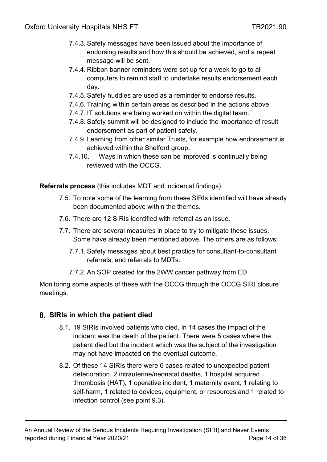- 7.4.3. Safety messages have been issued about the importance of endorsing results and how this should be achieved, and a repeat message will be sent.
- 7.4.4. Ribbon banner reminders were set up for a week to go to all computers to remind staff to undertake results endorsement each day.
- 7.4.5. Safety huddles are used as a reminder to endorse results.
- 7.4.6. Training within certain areas as described in the actions above.
- 7.4.7. IT solutions are being worked on within the digital team.
- 7.4.8. Safety summit will be designed to include the importance of result endorsement as part of patient safety.
- 7.4.9. Learning from other similar Trusts, for example how endorsement is achieved within the Shelford group.
- 7.4.10. Ways in which these can be improved is continually being reviewed with the OCCG.

**Referrals process** (this includes MDT and incidental findings)

- 7.5. To note some of the learning from these SIRIs identified will have already been documented above within the themes.
- 7.6. There are 12 SIRIs identified with referral as an issue.
- 7.7. There are several measures in place to try to mitigate these issues. Some have already been mentioned above. The others are as follows:
	- 7.7.1. Safety messages about best practice for consultant-to-consultant referrals, and referrals to MDTs.
	- 7.7.2. An SOP created for the 2WW cancer pathway from ED

Monitoring some aspects of these with the OCCG through the OCCG SIRI closure meetings.

## <span id="page-13-0"></span>**SIRIs in which the patient died**

- 8.1. 19 SIRIs involved patients who died. In 14 cases the impact of the incident was the death of the patient. There were 5 cases where the patient died but the incident which was the subject of the investigation may not have impacted on the eventual outcome.
- 8.2. Of these 14 SIRIs there were 6 cases related to unexpected patient deterioration, 2 intrauterine/neonatal deaths, 1 hospital acquired thrombosis (HAT), 1 operative incident, 1 maternity event, 1 relating to self-harm, 1 related to devices, equipment, or resources and 1 related to infection control (see point 9.3).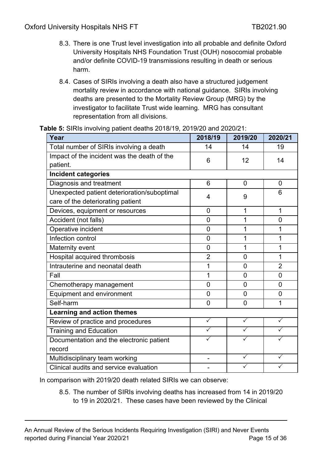- 8.3. There is one Trust level investigation into all probable and definite Oxford University Hospitals NHS Foundation Trust (OUH) nosocomial probable and/or definite COVID-19 transmissions resulting in death or serious harm.
- 8.4. Cases of SIRIs involving a death also have a structured judgement mortality review in accordance with national guidance. SIRIs involving deaths are presented to the Mortality Review Group (MRG) by the investigator to facilitate Trust wide learning. MRG has consultant representation from all divisions.

| Year                                        | 2018/19        | 2019/20        | 2020/21        |
|---------------------------------------------|----------------|----------------|----------------|
| Total number of SIRIs involving a death     | 14             | 14             | 19             |
| Impact of the incident was the death of the | 6              | 12             | 14             |
| patient.                                    |                |                |                |
| <b>Incident categories</b>                  |                |                |                |
| Diagnosis and treatment                     | 6              | 0              | $\overline{0}$ |
| Unexpected patient deterioration/suboptimal | 4              | 9              | 6              |
| care of the deteriorating patient           |                |                |                |
| Devices, equipment or resources             | $\overline{0}$ | 1              | 1              |
| Accident (not falls)                        | $\overline{0}$ | 1              | $\overline{0}$ |
| Operative incident                          | $\overline{0}$ | 1              | 1              |
| Infection control                           | $\overline{0}$ | 1              | 1              |
| Maternity event                             | $\overline{0}$ | 1              | 1              |
| Hospital acquired thrombosis                | $\overline{2}$ | $\overline{0}$ | 1              |
| Intrauterine and neonatal death             | 1              | $\overline{0}$ | $\overline{2}$ |
| Fall                                        | 1              | $\overline{0}$ | $\overline{0}$ |
| Chemotherapy management                     | $\overline{0}$ | $\overline{0}$ | 0              |
| Equipment and environment                   | $\overline{0}$ | $\overline{0}$ | 0              |
| Self-harm                                   | $\overline{0}$ | $\overline{0}$ | 1              |
| <b>Learning and action themes</b>           |                |                |                |
| Review of practice and procedures           | $\checkmark$   | $\checkmark$   | $\checkmark$   |
| <b>Training and Education</b>               | $\checkmark$   | $\checkmark$   |                |
| Documentation and the electronic patient    | $\checkmark$   |                |                |
| record                                      |                |                |                |
| Multidisciplinary team working              | ÷,             | ✓              | ✓              |
| Clinical audits and service evaluation      |                |                |                |

**Table 5:** SIRIs involving patient deaths 2018/19, 2019/20 and 2020/21:

In comparison with 2019/20 death related SIRIs we can observe:

8.5. The number of SIRIs involving deaths has increased from 14 in 2019/20 to 19 in 2020/21. These cases have been reviewed by the Clinical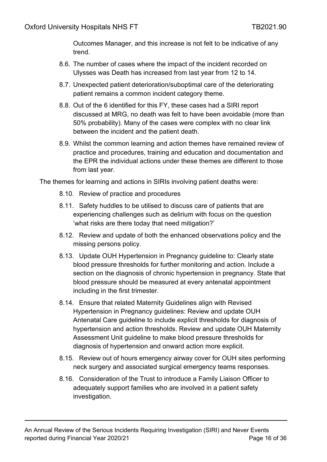Outcomes Manager, and this increase is not felt to be indicative of any trend.

- 8.6. The number of cases where the impact of the incident recorded on Ulysses was Death has increased from last year from 12 to 14.
- 8.7. Unexpected patient deterioration/suboptimal care of the deteriorating patient remains a common incident category theme.
- 8.8. Out of the 6 identified for this FY, these cases had a SIRI report discussed at MRG, no death was felt to have been avoidable (more than 50% probability). Many of the cases were complex with no clear link between the incident and the patient death.
- 8.9. Whilst the common learning and action themes have remained review of practice and procedures, training and education and documentation and the EPR the individual actions under these themes are different to those from last year.

The themes for learning and actions in SIRIs involving patient deaths were:

- 8.10. Review of practice and procedures
- 8.11. Safety huddles to be utilised to discuss care of patients that are experiencing challenges such as delirium with focus on the question 'what risks are there today that need mitigation?'
- 8.12. Review and update of both the enhanced observations policy and the missing persons policy.
- 8.13. Update OUH Hypertension in Pregnancy guideline to: Clearly state blood pressure thresholds for further monitoring and action. Include a section on the diagnosis of chronic hypertension in pregnancy. State that blood pressure should be measured at every antenatal appointment including in the first trimester.
- 8.14. Ensure that related Maternity Guidelines align with Revised Hypertension in Pregnancy guidelines: Review and update OUH Antenatal Care guideline to include explicit thresholds for diagnosis of hypertension and action thresholds. Review and update OUH Maternity Assessment Unit guideline to make blood pressure thresholds for diagnosis of hypertension and onward action more explicit.
- 8.15. Review out of hours emergency airway cover for OUH sites performing neck surgery and associated surgical emergency teams responses.
- 8.16. Consideration of the Trust to introduce a Family Liaison Officer to adequately support families who are involved in a patient safety investigation.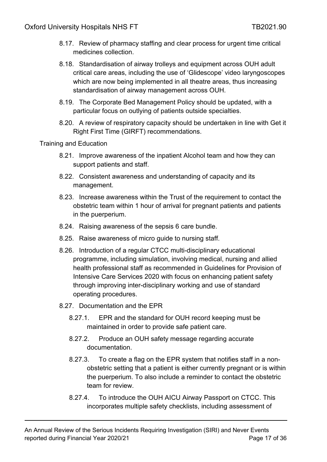- 8.17. Review of pharmacy staffing and clear process for urgent time critical medicines collection.
- 8.18. Standardisation of airway trolleys and equipment across OUH adult critical care areas, including the use of 'Glidescope' video laryngoscopes which are now being implemented in all theatre areas, thus increasing standardisation of airway management across OUH.
- 8.19. The Corporate Bed Management Policy should be updated, with a particular focus on outlying of patients outside specialties.
- 8.20. A review of respiratory capacity should be undertaken in line with Get it Right First Time (GIRFT) recommendations.

### Training and Education

- 8.21. Improve awareness of the inpatient Alcohol team and how they can support patients and staff.
- 8.22. Consistent awareness and understanding of capacity and its management.
- 8.23. Increase awareness within the Trust of the requirement to contact the obstetric team within 1 hour of arrival for pregnant patients and patients in the puerperium.
- 8.24. Raising awareness of the sepsis 6 care bundle.
- 8.25. Raise awareness of micro guide to nursing staff.
- 8.26. Introduction of a regular CTCC multi-disciplinary educational programme, including simulation, involving medical, nursing and allied health professional staff as recommended in Guidelines for Provision of Intensive Care Services 2020 with focus on enhancing patient safety through improving inter-disciplinary working and use of standard operating procedures.
- 8.27. Documentation and the EPR
	- 8.27.1. EPR and the standard for OUH record keeping must be maintained in order to provide safe patient care.
	- 8.27.2. Produce an OUH safety message regarding accurate documentation.
	- 8.27.3. To create a flag on the EPR system that notifies staff in a nonobstetric setting that a patient is either currently pregnant or is within the puerperium. To also include a reminder to contact the obstetric team for review.
	- 8.27.4. To introduce the OUH AICU Airway Passport on CTCC. This incorporates multiple safety checklists, including assessment of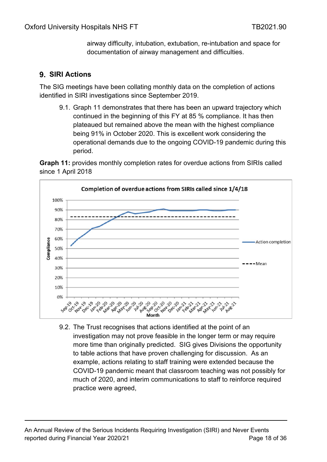airway difficulty, intubation, extubation, re-intubation and space for documentation of airway management and difficulties.

## <span id="page-17-0"></span>**SIRI Actions**

The SIG meetings have been collating monthly data on the completion of actions identified in SIRI investigations since September 2019.

9.1. Graph 11 demonstrates that there has been an upward trajectory which continued in the beginning of this FY at 85 % compliance. It has then plateaued but remained above the mean with the highest compliance being 91% in October 2020. This is excellent work considering the operational demands due to the ongoing COVID-19 pandemic during this period.

**Graph 11:** provides monthly completion rates for overdue actions from SIRIs called since 1 April 2018



9.2. The Trust recognises that actions identified at the point of an investigation may not prove feasible in the longer term or may require more time than originally predicted. SIG gives Divisions the opportunity to table actions that have proven challenging for discussion. As an example, actions relating to staff training were extended because the COVID-19 pandemic meant that classroom teaching was not possibly for much of 2020, and interim communications to staff to reinforce required practice were agreed,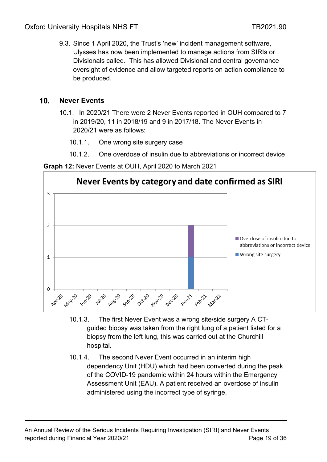9.3. Since 1 April 2020, the Trust's 'new' incident management software, Ulysses has now been implemented to manage actions from SIRIs or Divisionals called. This has allowed Divisional and central governance oversight of evidence and allow targeted reports on action compliance to be produced.

#### <span id="page-18-0"></span>**Never Events**  $10<sup>1</sup>$

 $\overline{0}$ 

**May-20** 

Jun-20

**Juli**20

Aug<sub>220</sub>

Sep

- 10.1. In 2020/21 There were 2 Never Events reported in OUH compared to 7 in 2019/20, 11 in 2018/19 and 9 in 2017/18. The Never Events in 2020/21 were as follows:
	- 10.1.1. One wrong site surgery case
	- 10.1.2. One overdose of insulin due to abbreviations or incorrect device



**Graph 12:** Never Events at OUH, April 2020 to March 2021

10.1.3. The first Never Event was a wrong site/side surgery A CTguided biopsy was taken from the right lung of a patient listed for a biopsy from the left lung, this was carried out at the Churchill hospital.

Decizo

**Nov-20** 

Oct-20

Jan-21

Febru

10.1.4. The second Never Event occurred in an interim high dependency Unit (HDU) which had been converted during the peak of the COVID-19 pandemic within 24 hours within the Emergency Assessment Unit (EAU). A patient received an overdose of insulin administered using the incorrect type of syringe.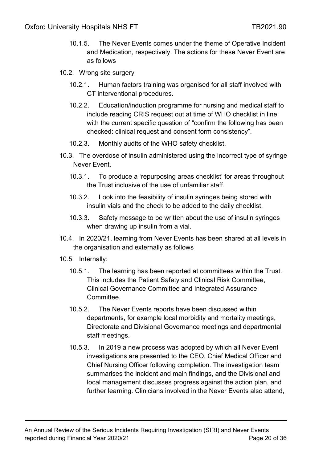- 10.1.5. The Never Events comes under the theme of Operative Incident and Medication, respectively. The actions for these Never Event are as follows
- 10.2. Wrong site surgery
	- 10.2.1. Human factors training was organised for all staff involved with CT interventional procedures.
	- 10.2.2. Education/induction programme for nursing and medical staff to include reading CRIS request out at time of WHO checklist in line with the current specific question of "confirm the following has been checked: clinical request and consent form consistency".
	- 10.2.3. Monthly audits of the WHO safety checklist.
- 10.3. The overdose of insulin administered using the incorrect type of syringe Never Event.
	- 10.3.1. To produce a 'repurposing areas checklist' for areas throughout the Trust inclusive of the use of unfamiliar staff.
	- 10.3.2. Look into the feasibility of insulin syringes being stored with insulin vials and the check to be added to the daily checklist.
	- 10.3.3. Safety message to be written about the use of insulin syringes when drawing up insulin from a vial.
- 10.4. In 2020/21, learning from Never Events has been shared at all levels in the organisation and externally as follows
- 10.5. Internally:
	- 10.5.1. The learning has been reported at committees within the Trust. This includes the Patient Safety and Clinical Risk Committee, Clinical Governance Committee and Integrated Assurance Committee.
	- 10.5.2. The Never Events reports have been discussed within departments, for example local morbidity and mortality meetings, Directorate and Divisional Governance meetings and departmental staff meetings.
	- 10.5.3. In 2019 a new process was adopted by which all Never Event investigations are presented to the CEO, Chief Medical Officer and Chief Nursing Officer following completion. The investigation team summarises the incident and main findings, and the Divisional and local management discusses progress against the action plan, and further learning. Clinicians involved in the Never Events also attend,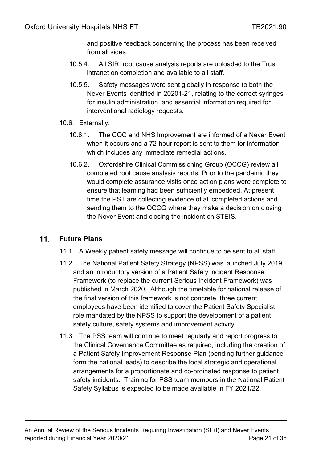and positive feedback concerning the process has been received from all sides.

- 10.5.4. All SIRI root cause analysis reports are uploaded to the Trust intranet on completion and available to all staff.
- 10.5.5. Safety messages were sent globally in response to both the Never Events identified in 20201-21, relating to the correct syringes for insulin administration, and essential information required for interventional radiology requests.
- 10.6. Externally:
	- 10.6.1. The CQC and NHS Improvement are informed of a Never Event when it occurs and a 72-hour report is sent to them for information which includes any immediate remedial actions.
	- 10.6.2. Oxfordshire Clinical Commissioning Group (OCCG) review all completed root cause analysis reports. Prior to the pandemic they would complete assurance visits once action plans were complete to ensure that learning had been sufficiently embedded. At present time the PST are collecting evidence of all completed actions and sending them to the OCCG where they make a decision on closing the Never Event and closing the incident on STEIS.

#### <span id="page-20-0"></span> $11<sub>1</sub>$ **Future Plans**

- 11.1. A Weekly patient safety message will continue to be sent to all staff.
- 11.2. The National Patient Safety Strategy (NPSS) was launched July 2019 and an introductory version of a Patient Safety incident Response Framework (to replace the current Serious Incident Framework) was published in March 2020. Although the timetable for national release of the final version of this framework is not concrete, three current employees have been identified to cover the Patient Safety Specialist role mandated by the NPSS to support the development of a patient safety culture, safety systems and improvement activity.
- 11.3. The PSS team will continue to meet regularly and report progress to the Clinical Governance Committee as required, including the creation of a Patient Safety Improvement Response Plan (pending further guidance form the national leads) to describe the local strategic and operational arrangements for a proportionate and co-ordinated response to patient safety incidents. Training for PSS team members in the National Patient Safety Syllabus is expected to be made available in FY 2021/22.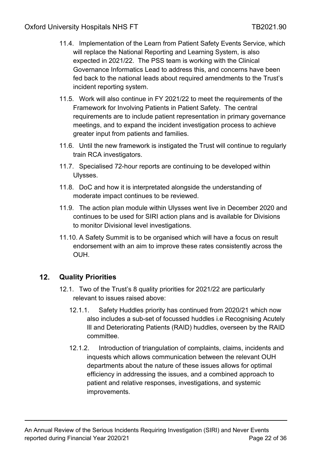- 11.4. Implementation of the Learn from Patient Safety Events Service, which will replace the National Reporting and Learning System, is also expected in 2021/22. The PSS team is working with the Clinical Governance Informatics Lead to address this, and concerns have been fed back to the national leads about required amendments to the Trust's incident reporting system.
- 11.5. Work will also continue in FY 2021/22 to meet the requirements of the Framework for Involving Patients in Patient Safety. The central requirements are to include patient representation in primary governance meetings, and to expand the incident investigation process to achieve greater input from patients and families.
- 11.6. Until the new framework is instigated the Trust will continue to regularly train RCA investigators.
- 11.7. Specialised 72-hour reports are continuing to be developed within Ulysses.
- 11.8. DoC and how it is interpretated alongside the understanding of moderate impact continues to be reviewed.
- 11.9. The action plan module within Ulysses went live in December 2020 and continues to be used for SIRI action plans and is available for Divisions to monitor Divisional level investigations.
- 11.10. A Safety Summit is to be organised which will have a focus on result endorsement with an aim to improve these rates consistently across the OUH.

#### <span id="page-21-0"></span> $12.$ **Quality Priorities**

- 12.1. Two of the Trust's 8 quality priorities for 2021/22 are particularly relevant to issues raised above:
	- 12.1.1. Safety Huddles priority has continued from 2020/21 which now also includes a sub-set of focussed huddles i.e Recognising Acutely Ill and Deteriorating Patients (RAID) huddles, overseen by the RAID committee.
	- 12.1.2. Introduction of triangulation of complaints, claims, incidents and inquests which allows communication between the relevant OUH departments about the nature of these issues allows for optimal efficiency in addressing the issues, and a combined approach to patient and relative responses, investigations, and systemic improvements.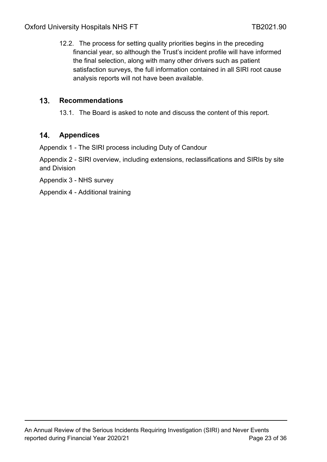12.2. The process for setting quality priorities begins in the preceding financial year, so although the Trust's incident profile will have informed the final selection, along with many other drivers such as patient satisfaction surveys, the full information contained in all SIRI root cause analysis reports will not have been available.

#### <span id="page-22-0"></span> $13<sub>1</sub>$ **Recommendations**

13.1. The Board is asked to note and discuss the content of this report.

#### <span id="page-22-1"></span> $14.$ **Appendices**

Appendix 1 - The SIRI process including Duty of Candour

Appendix 2 - SIRI overview, including extensions, reclassifications and SIRIs by site and Division

Appendix 3 - NHS survey

Appendix 4 - Additional training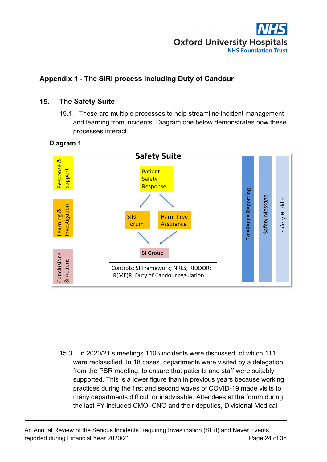

# <span id="page-23-1"></span><span id="page-23-0"></span>**Appendix 1 - The SIRI process including Duty of Candour**

## **The Safety Suite**

15.1. These are multiple processes to help streamline incident management and learning from incidents. Diagram one below demonstrates how these processes interact.

### **Diagram 1**



15.3. In 2020/21's meetings 1103 incidents were discussed, of which 111 were reclassified. In 18 cases, departments were visited by a delegation from the PSR meeting, to ensure that patients and staff were suitably supported. This is a lower figure than in previous years because working practices during the first and second waves of COVID-19 made visits to many departments difficult or inadvisable. Attendees at the forum during the last FY included CMO, CNO and their deputies, Divisional Medical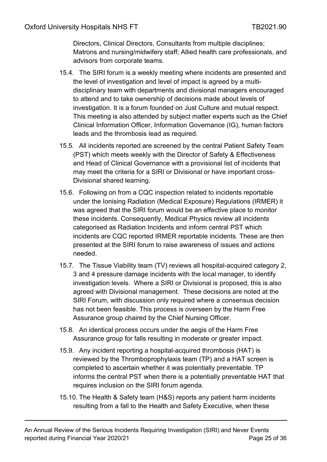Directors, Clinical Directors, Consultants from multiple disciplines; Matrons and nursing/midwifery staff; Allied health care professionals, and advisors from corporate teams.

- 15.4. The SIRI forum is a weekly meeting where incidents are presented and the level of investigation and level of impact is agreed by a multidisciplinary team with departments and divisional managers encouraged to attend and to take ownership of decisions made about levels of investigation. It is a forum founded on [Just Culture](http://ouh.oxnet.nhs.uk/SafetyQualityRisk/Document%20Library/Never%20Event%20Risk%20Summit/2018%20Never%20Event%20Risk%20Summit/Just%20Culture.pdf) and mutual respect. This meeting is also attended by subject matter experts such as the Chief Clinical Information Officer, Information Governance (IG), human factors leads and the thrombosis lead as required.
- 15.5. All incidents reported are screened by the central Patient Safety Team (PST) which meets weekly with the Director of Safety & Effectiveness and Head of Clinical Governance with a provisional list of incidents that may meet the criteria for a SIRI or Divisional or have important cross-Divisional shared learning.
- 15.6. Following on from a CQC inspection related to incidents reportable under the Ionising Radiation (Medical Exposure) Regulations (IRMER) it was agreed that the SIRI forum would be an effective place to monitor these incidents. Consequently, Medical Physics review all incidents categorised as Radiation Incidents and inform central PST which incidents are CQC reported IRMER reportable incidents. These are then presented at the SIRI forum to raise awareness of issues and actions needed.
- 15.7. The Tissue Viability team (TV) reviews all hospital-acquired category 2, 3 and 4 pressure damage incidents with the local manager, to identify investigation levels. Where a SIRI or Divisional is proposed, this is also agreed with Divisional management. These decisions are noted at the SIRI Forum, with discussion only required where a consensus decision has not been feasible. This process is overseen by the Harm Free Assurance group chaired by the Chief Nursing Officer.
- 15.8. An identical process occurs under the aegis of the Harm Free Assurance group for falls resulting in moderate or greater impact.
- 15.9. Any incident reporting a hospital-acquired thrombosis (HAT) is reviewed by the Thromboprophylaxis team (TP) and a HAT screen is completed to ascertain whether it was potentially preventable. TP informs the central PST when there is a potentially preventable HAT that requires inclusion on the SIRI forum agenda.
- 15.10. The Health & Safety team (H&S) reports any patient harm incidents resulting from a fall to the Health and Safety Executive, when these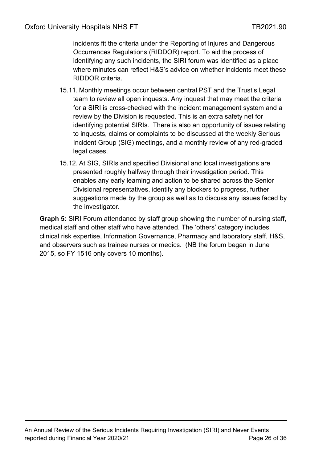incidents fit the criteria under the Reporting of Injures and Dangerous Occurrences Regulations (RIDDOR) report. To aid the process of identifying any such incidents, the SIRI forum was identified as a place where minutes can reflect H&S's advice on whether incidents meet these RIDDOR criteria.

- 15.11. Monthly meetings occur between central PST and the Trust's Legal team to review all open inquests. Any inquest that may meet the criteria for a SIRI is cross-checked with the incident management system and a review by the Division is requested. This is an extra safety net for identifying potential SIRIs. There is also an opportunity of issues relating to inquests, claims or complaints to be discussed at the weekly Serious Incident Group (SIG) meetings, and a monthly review of any red-graded legal cases.
- 15.12. At SIG, SIRIs and specified Divisional and local investigations are presented roughly halfway through their investigation period. This enables any early learning and action to be shared across the Senior Divisional representatives, identify any blockers to progress, further suggestions made by the group as well as to discuss any issues faced by the investigator.

**Graph 5:** SIRI Forum attendance by staff group showing the number of nursing staff, medical staff and other staff who have attended. The 'others' category includes clinical risk expertise, Information Governance, Pharmacy and laboratory staff, H&S, and observers such as trainee nurses or medics. (NB the forum began in June 2015, so FY 1516 only covers 10 months).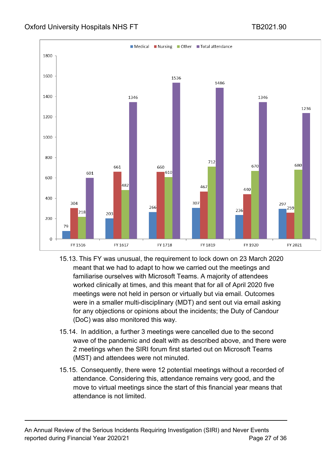

- 15.13. This FY was unusual, the requirement to lock down on 23 March 2020 meant that we had to adapt to how we carried out the meetings and familiarise ourselves with Microsoft Teams. A majority of attendees worked clinically at times, and this meant that for all of April 2020 five meetings were not held in person or virtually but via email. Outcomes were in a smaller multi-disciplinary (MDT) and sent out via email asking for any objections or opinions about the incidents; the Duty of Candour (DoC) was also monitored this way.
- 15.14. In addition, a further 3 meetings were cancelled due to the second wave of the pandemic and dealt with as described above, and there were 2 meetings when the SIRI forum first started out on Microsoft Teams (MST) and attendees were not minuted.
- 15.15. Consequently, there were 12 potential meetings without a recorded of attendance. Considering this, attendance remains very good, and the move to virtual meetings since the start of this financial year means that attendance is not limited.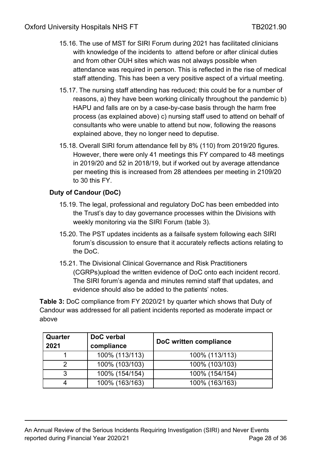- 15.16. The use of MST for SIRI Forum during 2021 has facilitated clinicians with knowledge of the incidents to attend before or after clinical duties and from other OUH sites which was not always possible when attendance was required in person. This is reflected in the rise of medical staff attending. This has been a very positive aspect of a virtual meeting.
- 15.17. The nursing staff attending has reduced; this could be for a number of reasons, a) they have been working clinically throughout the pandemic b) HAPU and falls are on by a case-by-case basis through the harm free process (as explained above) c) nursing staff used to attend on behalf of consultants who were unable to attend but now, following the reasons explained above, they no longer need to deputise.
- 15.18. Overall SIRI forum attendance fell by 8% (110) from 2019/20 figures. However, there were only 41 meetings this FY compared to 48 meetings in 2019/20 and 52 in 2018/19, but if worked out by average attendance per meeting this is increased from 28 attendees per meeting in 2109/20 to 30 this FY.

### **Duty of Candour (DoC)**

- 15.19. The legal, professional and regulatory DoC has been embedded into the Trust's day to day governance processes within the Divisions with weekly monitoring via the SIRI Forum (table 3).
- 15.20. The PST updates incidents as a failsafe system following each SIRI forum's discussion to ensure that it accurately reflects actions relating to the DoC.
- 15.21. The Divisional Clinical Governance and Risk Practitioners (CGRPs)upload the written evidence of DoC onto each incident record. The SIRI forum's agenda and minutes remind staff that updates, and evidence should also be added to the patients' notes.

**Table 3:** DoC compliance from FY 2020/21 by quarter which shows that Duty of Candour was addressed for all patient incidents reported as moderate impact or above

| Quarter<br>2021 | DoC verbal<br>compliance | DoC written compliance |
|-----------------|--------------------------|------------------------|
|                 | 100% (113/113)           | 100% (113/113)         |
| າ               | 100% (103/103)           | 100% (103/103)         |
| ર               | 100% (154/154)           | 100% (154/154)         |
|                 | 100% (163/163)           | 100% (163/163)         |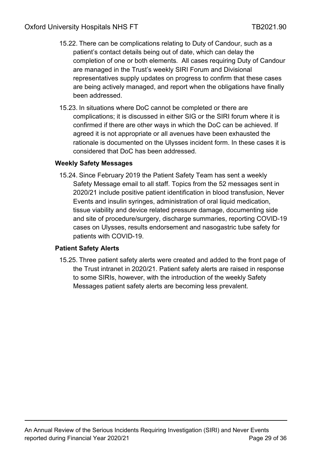- 15.22. There can be complications relating to Duty of Candour, such as a patient's contact details being out of date, which can delay the completion of one or both elements. All cases requiring Duty of Candour are managed in the Trust's weekly SIRI Forum and Divisional representatives supply updates on progress to confirm that these cases are being actively managed, and report when the obligations have finally been addressed.
- 15.23. In situations where DoC cannot be completed or there are complications; it is discussed in either SIG or the SIRI forum where it is confirmed if there are other ways in which the DoC can be achieved. If agreed it is not appropriate or all avenues have been exhausted the rationale is documented on the Ulysses incident form. In these cases it is considered that DoC has been addressed.

### **Weekly Safety Messages**

15.24. Since February 2019 the Patient Safety Team has sent a [weekly](http://ouh.oxnet.nhs.uk/SafetyQualityRisk/Lists/WeeklySafetyAlerts/AllItems.aspx)  [Safety Message email](http://ouh.oxnet.nhs.uk/SafetyQualityRisk/Lists/WeeklySafetyAlerts/AllItems.aspx) to all staff. [Topics from the 52 messages sent in](http://ouh.oxnet.nhs.uk/SafetyQualityRisk/Lists/WeeklySafetyAlerts/AllItems.aspx)  [2020/21](http://ouh.oxnet.nhs.uk/SafetyQualityRisk/Lists/WeeklySafetyAlerts/AllItems.aspx) include positive patient identification in blood transfusion, Never Events and insulin syringes, administration of oral liquid medication, tissue viability and device related pressure damage, documenting side and site of procedure/surgery, discharge summaries, reporting COVID-19 cases on Ulysses, results endorsement and nasogastric tube safety for patients with COVID-19.

### **Patient Safety Alerts**

15.25. Three patient safety alerts were created and added to the front page of the Trust intranet in 2020/21. Patient safety alerts are raised in response to some SIRIs, however, with the introduction of the weekly Safety Messages patient safety alerts are becoming less prevalent.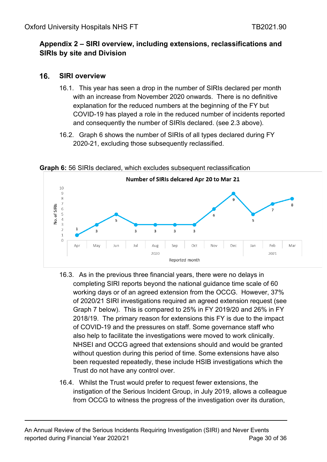## <span id="page-29-0"></span>**Appendix 2 – SIRI overview, including extensions, reclassifications and SIRIs by site and Division**

#### <span id="page-29-1"></span> $16<sub>1</sub>$ **SIRI overview**

- 16.1. This year has seen a drop in the number of SIRIs declared per month with an increase from November 2020 onwards. There is no definitive explanation for the reduced numbers at the beginning of the FY but COVID-19 has played a role in the reduced number of incidents reported and consequently the number of SIRIs declared. (see 2.3 above).
- 16.2. Graph 6 shows the number of SIRIs of all types declared during FY 2020-21, excluding those subsequently reclassified.

Number of SIRIs delcared Apr 20 to Mar 21 10  $\overline{Q}$ 8  $\overline{7}$ No. of SIRIs 6<br>5<br>4<br>3  $\overline{5}$  $\overline{2}$ 3 3  $\overline{\mathbf{3}}$  $\overline{3}$  $\overline{3}$  $\mathbf{1}$  $\mathbf 0$ Dec lun tul Oct **Nov** Feb Mar Apr May Aug Sep lan 2020 2021 Reported month

**Graph 6:** 56 SIRIs declared, which excludes subsequent reclassification

- 16.3. As in the previous three financial years, there were no delays in completing SIRI reports beyond the national guidance time scale of 60 working days or of an agreed extension from the OCCG. However, 37% of 2020/21 SIRI investigations required an agreed extension request (see Graph 7 below). This is compared to 25% in FY 2019/20 and 26% in FY 2018/19. The primary reason for extensions this FY is due to the impact of COVID-19 and the pressures on staff. Some governance staff who also help to facilitate the investigations were moved to work clinically. NHSEI and OCCG agreed that extensions should and would be granted without question during this period of time. Some extensions have also been requested repeatedly, these include HSIB investigations which the Trust do not have any control over.
- 16.4. Whilst the Trust would prefer to request fewer extensions, the instigation of the Serious Incident Group, in July 2019, allows a colleague from OCCG to witness the progress of the investigation over its duration,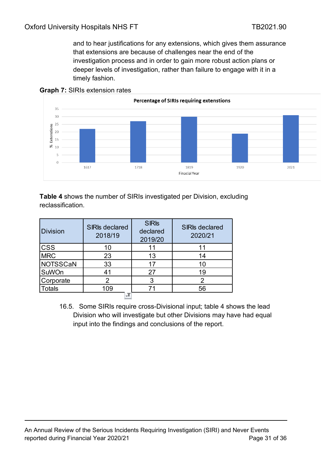and to hear justifications for any extensions, which gives them assurance that extensions are because of challenges near the end of the investigation process and in order to gain more robust action plans or deeper levels of investigation, rather than failure to engage with it in a timely fashion.





**Table 4** shows the number of SIRIs investigated per Division, excluding reclassification.

| <b>Division</b> | <b>SIRIs declared</b><br>2018/19 | <b>SIRIS</b><br>declared<br>2019/20 | <b>SIRIs declared</b><br>2020/21 |
|-----------------|----------------------------------|-------------------------------------|----------------------------------|
| <b>CSS</b>      | 10                               | 11                                  | 11                               |
| <b>MRC</b>      | 23                               | 13                                  | 14                               |
| <b>NOTSSCaN</b> | 33                               | 17                                  | 10                               |
| SuWOn           | 41                               | 27                                  | 19                               |
| Corporate       | 2                                | 3                                   |                                  |
| <b>Totals</b>   | 109                              | 71                                  | 56                               |
|                 | --                               |                                     |                                  |

16.5. Some SIRIs require cross-Divisional input; table 4 shows the lead Division who will investigate but other Divisions may have had equal input into the findings and conclusions of the report.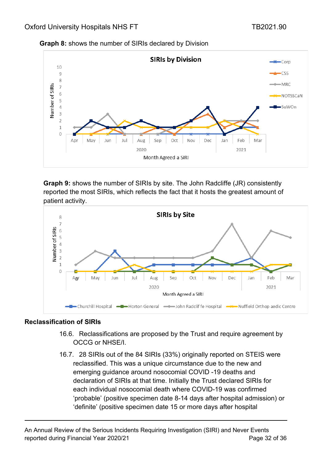



**Graph 9:** shows the number of SIRIs by site. The John Radcliffe (JR) consistently reported the most SIRIs, which reflects the fact that it hosts the greatest amount of patient activity.



### **Reclassification of SIRIs**

- 16.6. Reclassifications are proposed by the Trust and require agreement by OCCG or NHSE/I.
- 16.7. 28 SIRIs out of the 84 SIRIs (33%) originally reported on STEIS were reclassified. This was a unique circumstance due to the new and emerging guidance around nosocomial COVID -19 deaths and declaration of SIRIs at that time. Initially the Trust declared SIRIs for each individual nosocomial death where COVID-19 was confirmed 'probable' (positive specimen date 8-14 days after hospital admission) or 'definite' (positive specimen date 15 or more days after hospital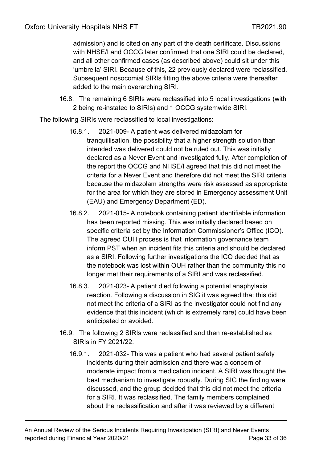admission) and is cited on any part of the death certificate. Discussions with NHSE/I and OCCG later confirmed that one SIRI could be declared, and all other confirmed cases (as described above) could sit under this 'umbrella' SIRI. Because of this, 22 previously declared were reclassified. Subsequent nosocomial SIRIs fitting the above criteria were thereafter added to the main overarching SIRI.

16.8. The remaining 6 SIRIs were reclassified into 5 local investigations (with 2 being re-instated to SIRIs) and 1 OCCG systemwide SIRI.

The following SIRIs were reclassified to local investigations:

- 16.8.1. 2021-009- A patient was delivered midazolam for tranquillisation, the possibility that a higher strength solution than intended was delivered could not be ruled out. This was initially declared as a Never Event and investigated fully. After completion of the report the OCCG and NHSE/I agreed that this did not meet the criteria for a Never Event and therefore did not meet the SIRI criteria because the midazolam strengths were risk assessed as appropriate for the area for which they are stored in Emergency assessment Unit (EAU) and Emergency Department (ED).
- 16.8.2. 2021-015- A notebook containing patient identifiable information has been reported missing. This was initially declared based on specific criteria set by the Information Commissioner's Office (ICO). The agreed OUH process is that information governance team inform PST when an incident fits this criteria and should be declared as a SIRI. Following further investigations the ICO decided that as the notebook was lost within OUH rather than the community this no longer met their requirements of a SIRI and was reclassified.
- 16.8.3. 2021-023- A patient died following a potential anaphylaxis reaction. Following a discussion in SIG it was agreed that this did not meet the criteria of a SIRI as the investigator could not find any evidence that this incident (which is extremely rare) could have been anticipated or avoided.
- 16.9. The following 2 SIRIs were reclassified and then re-established as SIRIs in FY 2021/22:
	- 16.9.1. 2021-032- This was a patient who had several patient safety incidents during their admission and there was a concern of moderate impact from a medication incident. A SIRI was thought the best mechanism to investigate robustly. During SIG the finding were discussed, and the group decided that this did not meet the criteria for a SIRI. It was reclassified. The family members complained about the reclassification and after it was reviewed by a different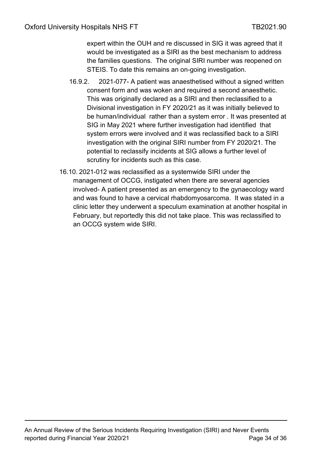expert within the OUH and re discussed in SIG it was agreed that it would be investigated as a SIRI as the best mechanism to address the families questions. The original SIRI number was reopened on STEIS. To date this remains an on-going investigation.

- 16.9.2. 2021-077- A patient was anaesthetised without a signed written consent form and was woken and required a second anaesthetic. This was originally declared as a SIRI and then reclassified to a Divisional investigation in FY 2020/21 as it was initially believed to be human/individual rather than a system error . It was presented at SIG in May 2021 where further investigation had identified that system errors were involved and it was reclassified back to a SIRI investigation with the original SIRI number from FY 2020/21. The potential to reclassify incidents at SIG allows a further level of scrutiny for incidents such as this case.
- 16.10. 2021-012 was reclassified as a systemwide SIRI under the management of OCCG, instigated when there are several agencies involved- A patient presented as an emergency to the gynaecology ward and was found to have a cervical rhabdomyosarcoma. It was stated in a clinic letter they underwent a speculum examination at another hospital in February, but reportedly this did not take place. This was reclassified to an OCCG system wide SIRI.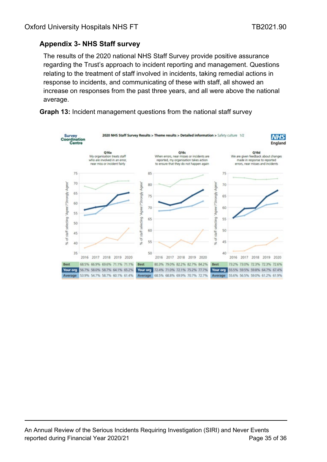## <span id="page-34-0"></span>**Appendix 3- NHS Staff survey**

The results of the 2020 national NHS Staff Survey provide positive assurance regarding the Trust's approach to incident reporting and management. Questions relating to the treatment of staff involved in incidents, taking remedial actions in response to incidents, and communicating of these with staff, all showed an increase on responses from the past three years, and all were above the national average.



**Graph 13:** Incident management questions from the national staff survey